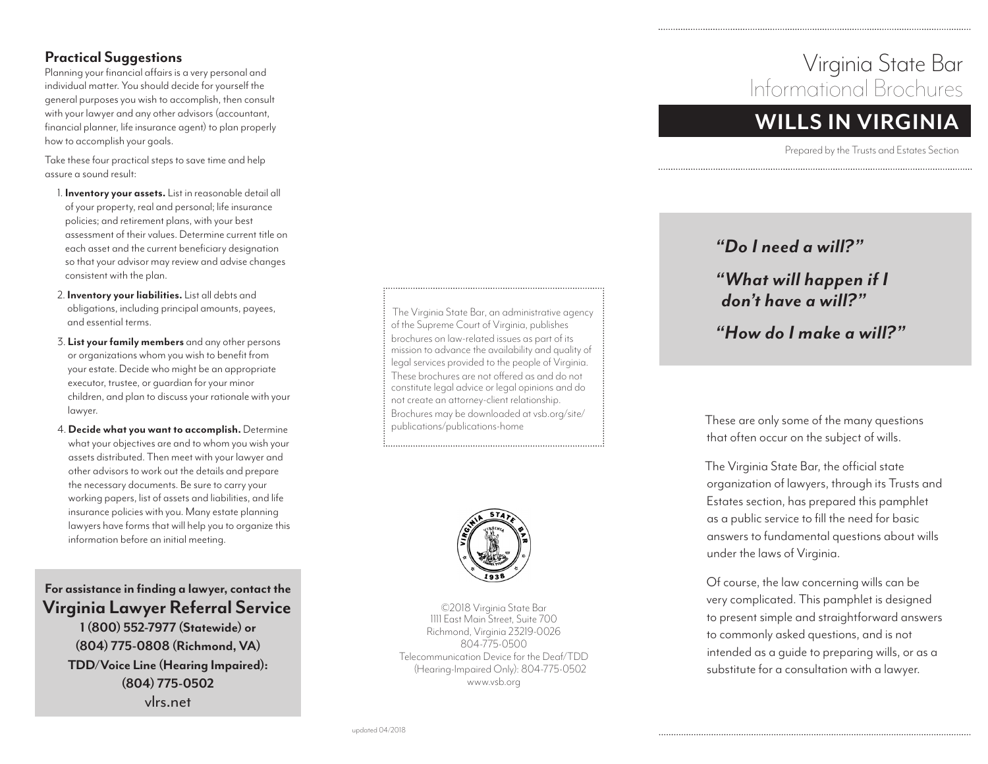#### **Practical Suggestions**

Planning your financial affairs is a very personal and individual matter. You should decide for yourself the general purposes you wish to accomplish, then consult with your lawyer and any other advisors (accountant, financial planner, life insurance agent) to plan properly how to accomplish your goals.

Take these four practical steps to save time and help assure a sound result:

- 1. **Inventory your assets.** List in reasonable detail all of your property, real and personal; life insurance policies; and retirement plans, with your best assessment of their values. Determine current title on each asset and the current beneficiary designation so that your advisor may review and advise changes consistent with the plan.
- 2. **Inventory your liabilities.** List all debts and obligations, including principal amounts, payees, and essential terms.
- 3. **List your family members** and any other persons or organizations whom you wish to benefit from your estate. Decide who might be an appropriate executor, trustee, or guardian for your minor children, and plan to discuss your rationale with your lawyer.
- 4. **Decide what you want to accomplish.** Determine what your objectives are and to whom you wish your assets distributed. Then meet with your lawyer and other advisors to work out the details and prepare the necessary documents. Be sure to carry your working papers, list of assets and liabilities, and life insurance policies with you. Many estate planning lawyers have forms that will help you to organize this information before an initial meeting.

**For assistance in finding a lawyer, contact the Virginia Lawyer Referral Service 1 (800) 552-7977 (Statewide) or (804) 775-0808 (Richmond, VA) TDD/Voice Line (Hearing Impaired): (804) 775-0502** vlrs.net

The Virginia State Bar, an administrative agency of the Supreme Court of Virginia, publishes brochures on law-related issues as part of its mission to advance the availability and quality of legal services provided to the people of Virginia. These brochures are not offered as and do not constitute legal advice or legal opinions and do not create an attorney-client relationship. Brochures may be downloaded at vsb.org/site/ publications/publications-home



©2018 Virginia State Bar 1111 East Main Street, Suite 700 Richmond, Virginia 23219-0026 804-775-0500 Telecommunication Device for the Deaf/TDD (Hearing-Impaired Only): 804-775-0502 www.vsb.org

# Virginia State Bar Informational Brochures

## **WILLS IN VIRGINIA**

Prepared by the Trusts and Estates Section

#### *"Do I need a will?"*

#### *"What will happen if I don't have a will?"*

#### *"How do I make a will?"*

These are only some of the many questions that often occur on the subject of wills.

The Virginia State Bar, the official state organization of lawyers, through its Trusts and Estates section, has prepared this pamphlet as a public service to fill the need for basic answers to fundamental questions about wills under the laws of Virginia.

Of course, the law concerning wills can be very complicated. This pamphlet is designed to present simple and straightforward answers to commonly asked questions, and is not intended as a guide to preparing wills, or as a substitute for a consultation with a lawyer.